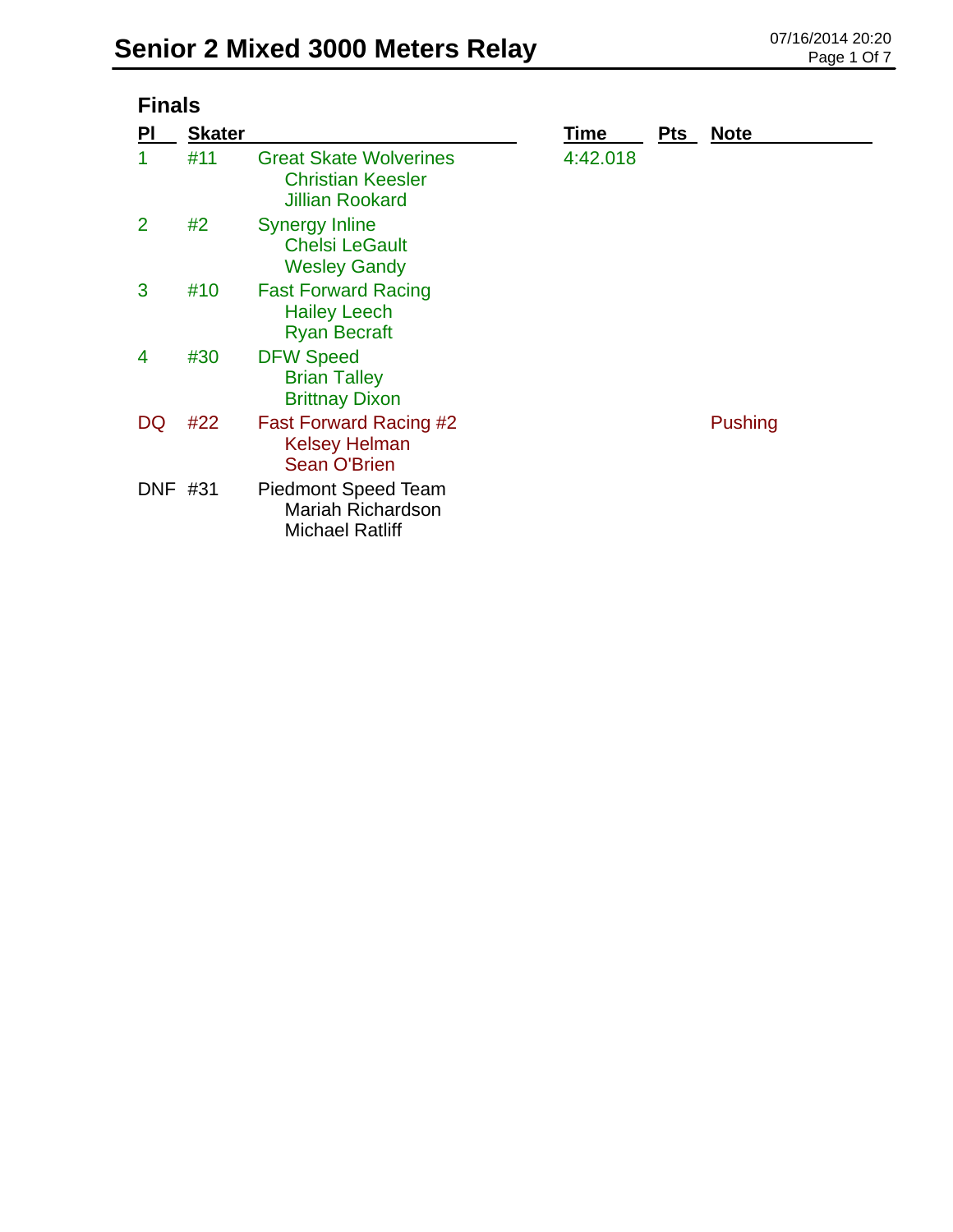|                | <b>Finals</b> |                                                                                     |          |            |                |  |  |
|----------------|---------------|-------------------------------------------------------------------------------------|----------|------------|----------------|--|--|
| PI             | <b>Skater</b> |                                                                                     | Time     | <b>Pts</b> | <b>Note</b>    |  |  |
| 1              | #11           | <b>Great Skate Wolverines</b><br><b>Christian Keesler</b><br><b>Jillian Rookard</b> | 4:42.018 |            |                |  |  |
| $\overline{2}$ | #2            | Synergy Inline<br><b>Chelsi LeGault</b><br><b>Wesley Gandy</b>                      |          |            |                |  |  |
| 3              | #10           | <b>Fast Forward Racing</b><br><b>Hailey Leech</b><br><b>Ryan Becraft</b>            |          |            |                |  |  |
| 4              | #30           | <b>DFW Speed</b><br><b>Brian Talley</b><br><b>Brittnay Dixon</b>                    |          |            |                |  |  |
| DQ             | #22           | Fast Forward Racing #2<br><b>Kelsey Helman</b><br><b>Sean O'Brien</b>               |          |            | <b>Pushing</b> |  |  |
| DNF #31        |               | <b>Piedmont Speed Team</b><br>Mariah Richardson<br><b>Michael Ratliff</b>           |          |            |                |  |  |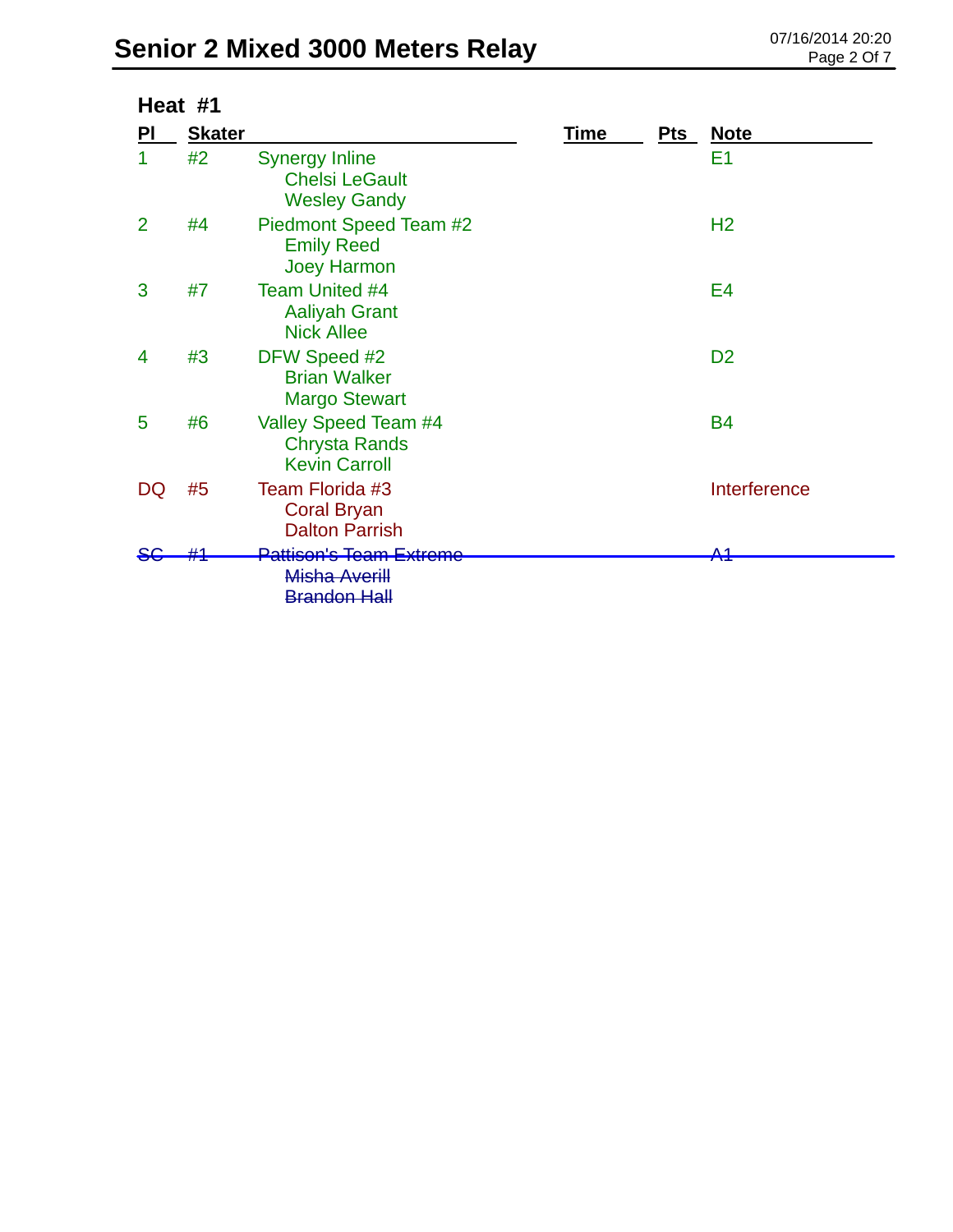|                | Heat #1       |                                                                       |      |            |                |
|----------------|---------------|-----------------------------------------------------------------------|------|------------|----------------|
| PI             | <b>Skater</b> |                                                                       | Time | <u>Pts</u> | <u>Note</u>    |
|                | #2            | <b>Synergy Inline</b><br><b>Chelsi LeGault</b><br><b>Wesley Gandy</b> |      |            | E1             |
| $\overline{2}$ | #4            | Piedmont Speed Team #2<br><b>Emily Reed</b><br><b>Joey Harmon</b>     |      |            | H <sub>2</sub> |
| 3              | #7            | <b>Team United #4</b><br><b>Aaliyah Grant</b><br><b>Nick Allee</b>    |      |            | E4             |
| 4              | #3            | DFW Speed #2<br><b>Brian Walker</b><br><b>Margo Stewart</b>           |      |            | D <sub>2</sub> |
| 5              | #6            | Valley Speed Team #4<br><b>Chrysta Rands</b><br><b>Kevin Carroll</b>  |      |            | <b>B4</b>      |
| DQ             | #5            | Team Florida #3<br><b>Coral Bryan</b><br><b>Dalton Parrish</b>        |      |            | Interference   |
|                |               | Pattison's Team Extreme                                               |      |            | Λ4             |
|                |               | Misha Averill<br><b>Brandon Hall</b>                                  |      |            |                |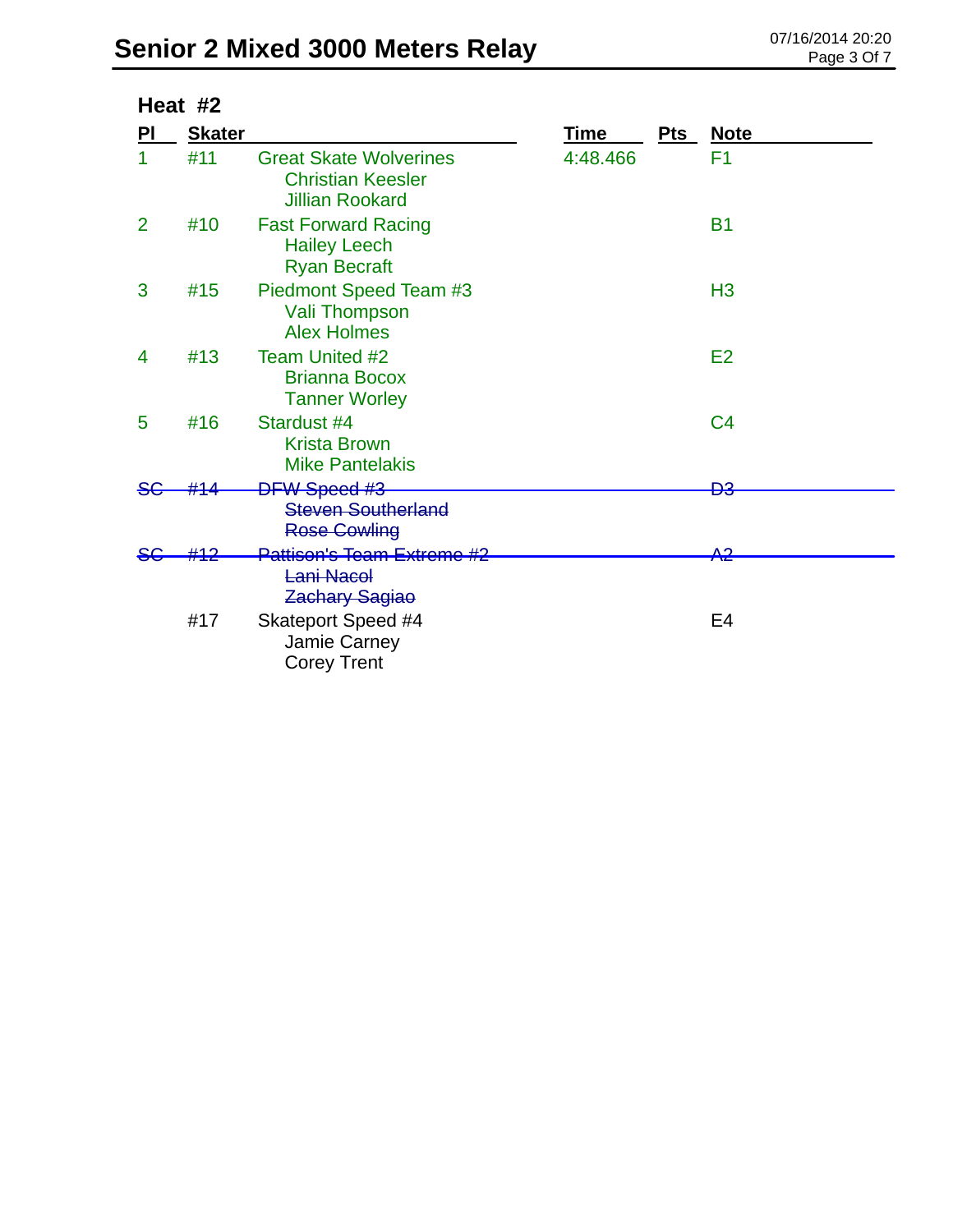| Heat #2        |               |                                                                                     |             |            |                |
|----------------|---------------|-------------------------------------------------------------------------------------|-------------|------------|----------------|
| PI             | <b>Skater</b> |                                                                                     | <b>Time</b> | <b>Pts</b> | <b>Note</b>    |
| 1              | #11           | <b>Great Skate Wolverines</b><br><b>Christian Keesler</b><br><b>Jillian Rookard</b> | 4:48.466    |            | F <sub>1</sub> |
| $\overline{2}$ | #10           | <b>Fast Forward Racing</b><br><b>Hailey Leech</b><br><b>Ryan Becraft</b>            |             |            | <b>B1</b>      |
| 3              | #15           | Piedmont Speed Team #3<br><b>Vali Thompson</b><br><b>Alex Holmes</b>                |             |            | H <sub>3</sub> |
| 4              | #13           | <b>Team United #2</b><br><b>Brianna Bocox</b><br><b>Tanner Worley</b>               |             |            | E2             |
| 5              | #16           | Stardust #4<br><b>Krista Brown</b><br><b>Mike Pantelakis</b>                        |             |            | C <sub>4</sub> |
| <del>S€</del>  |               | <b>DFW Speed #3</b>                                                                 |             |            | ÐЗ             |
|                |               | <b>Steven Southerland</b><br><b>Rose Cowling</b>                                    |             |            |                |
|                |               | <b>Pattison's Team Extreme #2</b><br>Lani Nacol<br><b>Zachary Sagiao</b>            |             |            | <del>A2</del>  |
|                | #17           | <b>Skateport Speed #4</b><br>Jamie Carney<br><b>Corey Trent</b>                     |             |            | E <sub>4</sub> |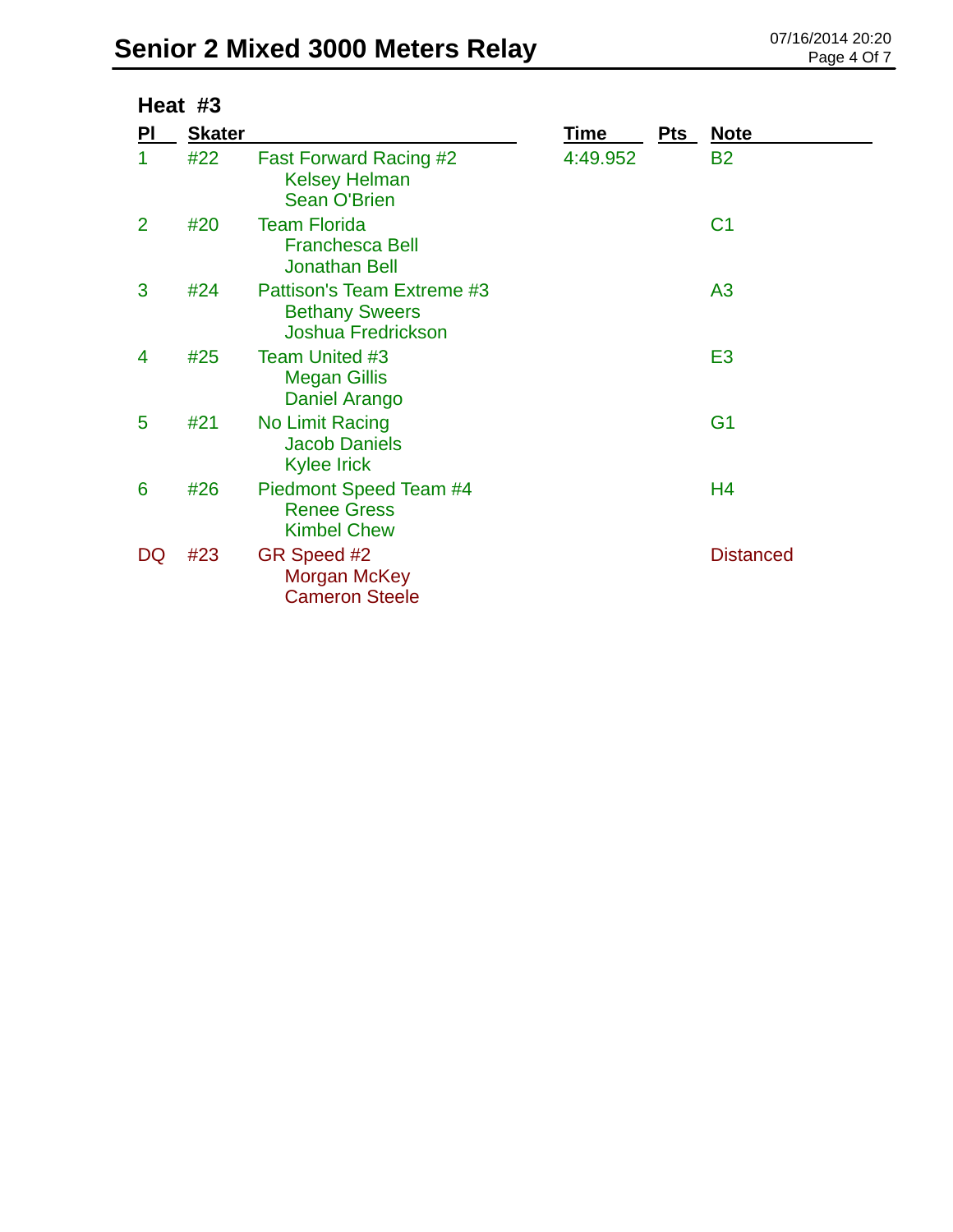| Heat #3        |               |                                                                                  |          |     |                  |
|----------------|---------------|----------------------------------------------------------------------------------|----------|-----|------------------|
| PI             | <b>Skater</b> |                                                                                  | Time     | Pts | <b>Note</b>      |
| 1              | #22           | <b>Fast Forward Racing #2</b><br><b>Kelsey Helman</b><br><b>Sean O'Brien</b>     | 4:49.952 |     | <b>B2</b>        |
| $\overline{2}$ | #20           | <b>Team Florida</b><br><b>Franchesca Bell</b><br><b>Jonathan Bell</b>            |          |     | C <sub>1</sub>   |
| 3              | #24           | Pattison's Team Extreme #3<br><b>Bethany Sweers</b><br><b>Joshua Fredrickson</b> |          |     | A <sub>3</sub>   |
| 4              | #25           | <b>Team United #3</b><br><b>Megan Gillis</b><br>Daniel Arango                    |          |     | E <sub>3</sub>   |
| 5              | #21           | No Limit Racing<br><b>Jacob Daniels</b><br><b>Kylee Irick</b>                    |          |     | G <sub>1</sub>   |
| 6              | #26           | Piedmont Speed Team #4<br><b>Renee Gress</b><br><b>Kimbel Chew</b>               |          |     | H4               |
| DQ             | #23           | GR Speed #2<br>Morgan McKey<br><b>Cameron Steele</b>                             |          |     | <b>Distanced</b> |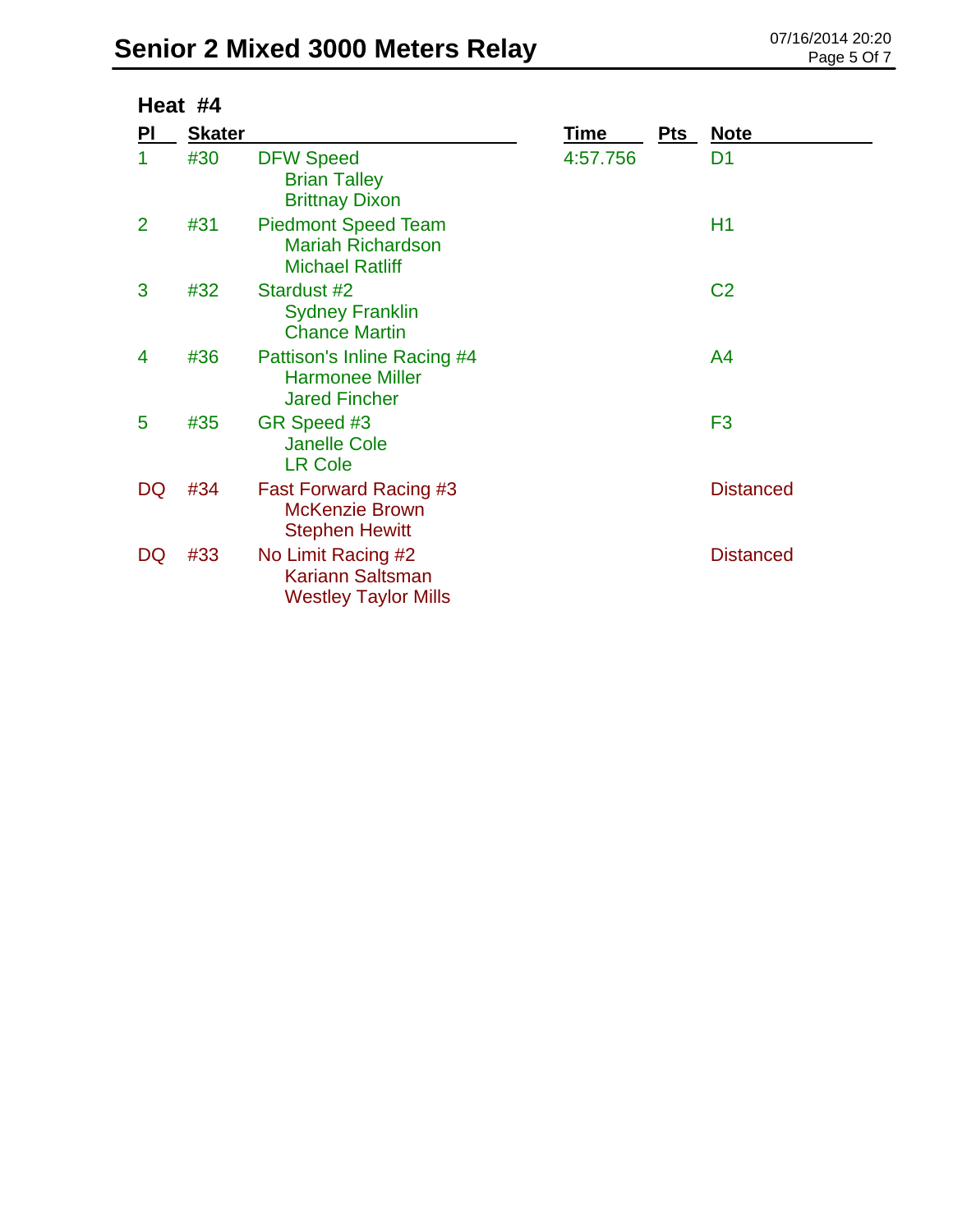|                | Heat #4       |                                                                                  |          |     |                  |  |  |
|----------------|---------------|----------------------------------------------------------------------------------|----------|-----|------------------|--|--|
| <u>PI</u>      | <b>Skater</b> |                                                                                  | Time     | Pts | <b>Note</b>      |  |  |
| 1              | #30           | <b>DFW Speed</b><br><b>Brian Talley</b><br><b>Brittnay Dixon</b>                 | 4:57.756 |     | D <sub>1</sub>   |  |  |
| $\overline{2}$ | #31           | <b>Piedmont Speed Team</b><br><b>Mariah Richardson</b><br><b>Michael Ratliff</b> |          |     | H1               |  |  |
| 3              | #32           | Stardust #2<br><b>Sydney Franklin</b><br><b>Chance Martin</b>                    |          |     | C <sub>2</sub>   |  |  |
| 4              | #36           | Pattison's Inline Racing #4<br><b>Harmonee Miller</b><br><b>Jared Fincher</b>    |          |     | A4               |  |  |
| 5              | #35           | GR Speed #3<br><b>Janelle Cole</b><br><b>LR Cole</b>                             |          |     | F <sub>3</sub>   |  |  |
| DQ             | #34           | Fast Forward Racing #3<br><b>McKenzie Brown</b><br><b>Stephen Hewitt</b>         |          |     | <b>Distanced</b> |  |  |
| DQ             | #33           | No Limit Racing #2<br><b>Kariann Saltsman</b><br><b>Westley Taylor Mills</b>     |          |     | <b>Distanced</b> |  |  |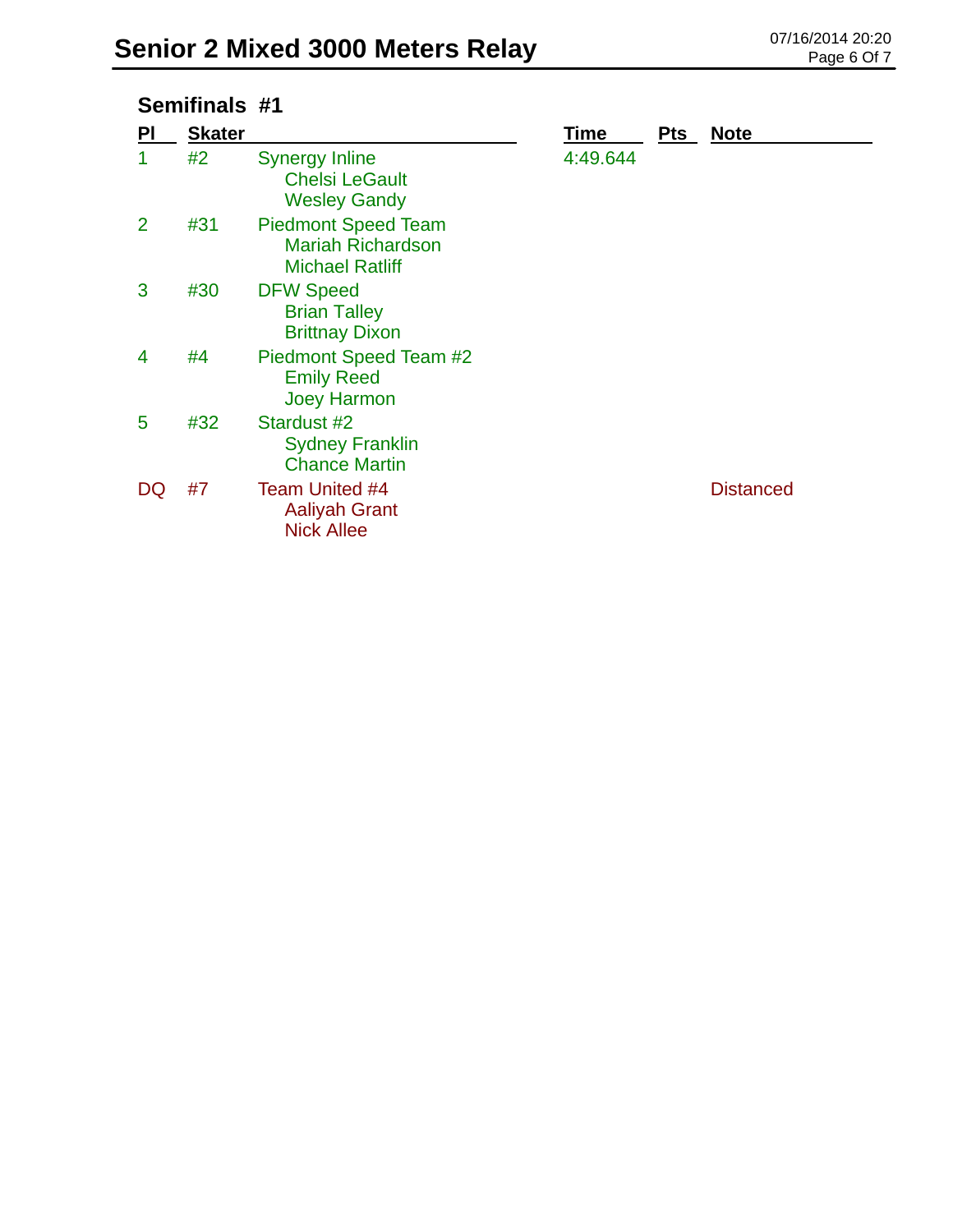### **Semifinals #1**

| PI | <b>Skater</b> |                                                                                  | Time     | <b>Pts</b> | <b>Note</b>      |
|----|---------------|----------------------------------------------------------------------------------|----------|------------|------------------|
| 1  | #2            | <b>Synergy Inline</b><br><b>Chelsi LeGault</b><br><b>Wesley Gandy</b>            | 4:49.644 |            |                  |
| 2  | #31           | <b>Piedmont Speed Team</b><br><b>Mariah Richardson</b><br><b>Michael Ratliff</b> |          |            |                  |
| 3  | #30           | <b>DFW Speed</b><br><b>Brian Talley</b><br><b>Brittnay Dixon</b>                 |          |            |                  |
| 4  | #4            | Piedmont Speed Team #2<br><b>Emily Reed</b><br><b>Joey Harmon</b>                |          |            |                  |
| 5  | #32           | Stardust #2<br><b>Sydney Franklin</b><br><b>Chance Martin</b>                    |          |            |                  |
| DQ | #7            | Team United #4<br><b>Aaliyah Grant</b><br><b>Nick Allee</b>                      |          |            | <b>Distanced</b> |